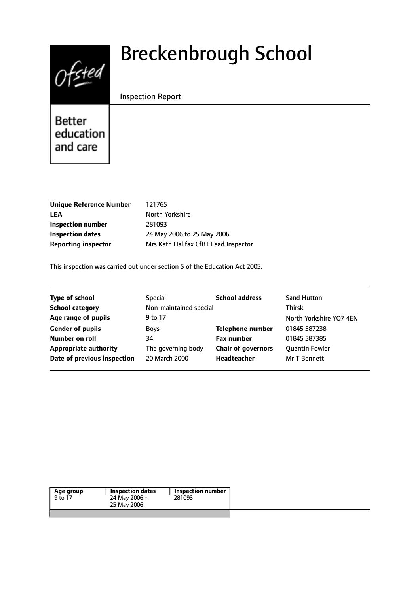

# Breckenbrough School

## Inspection Report

Better education and care

| <b>Unique Reference Number</b> | 121765                               |
|--------------------------------|--------------------------------------|
| LEA                            | North Yorkshire                      |
| Inspection number              | 281093                               |
| <b>Inspection dates</b>        | 24 May 2006 to 25 May 2006           |
| <b>Reporting inspector</b>     | Mrs Kath Halifax CfBT Lead Inspector |
|                                |                                      |

This inspection was carried out under section 5 of the Education Act 2005.

| <b>Type of school</b>        | Special                | <b>School address</b>     | <b>Sand Hutton</b>      |
|------------------------------|------------------------|---------------------------|-------------------------|
| <b>School category</b>       | Non-maintained special |                           | <b>Thirsk</b>           |
| Age range of pupils          | 9 to 17                |                           | North Yorkshire YO7 4EN |
| <b>Gender of pupils</b>      | <b>Boys</b>            | <b>Telephone number</b>   | 01845 587238            |
| Number on roll               | 34                     | <b>Fax number</b>         | 01845 587385            |
| <b>Appropriate authority</b> | The governing body     | <b>Chair of governors</b> | <b>Quentin Fowler</b>   |
| Date of previous inspection  | 20 March 2000          | Headteacher               | <b>Mr T Bennett</b>     |
|                              |                        |                           |                         |

|--|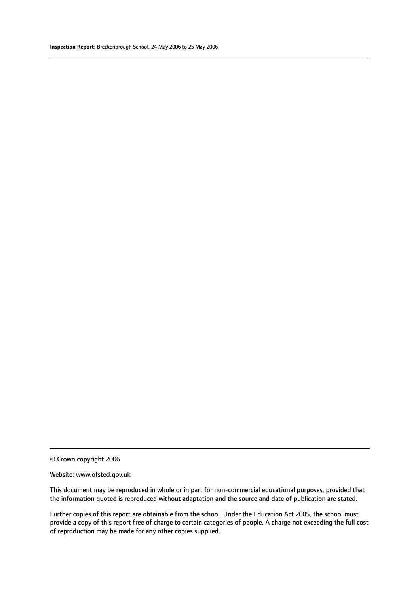#### Website: www.ofsted.gov.uk

This document may be reproduced in whole or in part for non-commercial educational purposes, provided that the information quoted is reproduced without adaptation and the source and date of publication are stated.

Further copies of this report are obtainable from the school. Under the Education Act 2005, the school must provide a copy of this report free of charge to certain categories of people. A charge not exceeding the full cost of reproduction may be made for any other copies supplied.

<sup>©</sup> Crown copyright 2006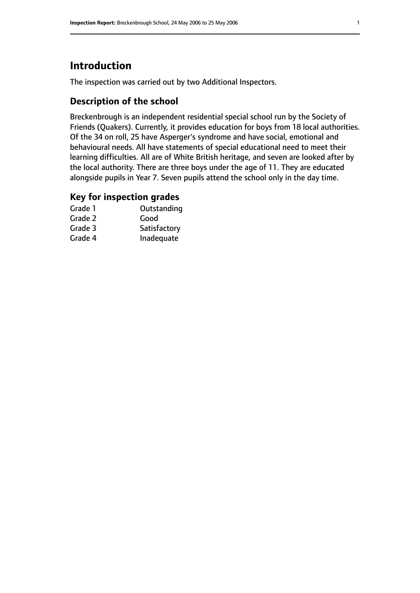# **Introduction**

The inspection was carried out by two Additional Inspectors.

# **Description of the school**

Breckenbrough is an independent residential special school run by the Society of Friends (Quakers). Currently, it provides education for boys from 18 local authorities. Of the 34 on roll, 25 have Asperger's syndrome and have social, emotional and behavioural needs. All have statements of special educational need to meet their learning difficulties. All are of White British heritage, and seven are looked after by the local authority. There are three boys under the age of 11. They are educated alongside pupils in Year 7. Seven pupils attend the school only in the day time.

## **Key for inspection grades**

| Grade 1 | Outstanding  |
|---------|--------------|
| Grade 2 | Good         |
| Grade 3 | Satisfactory |
| Grade 4 | Inadequate   |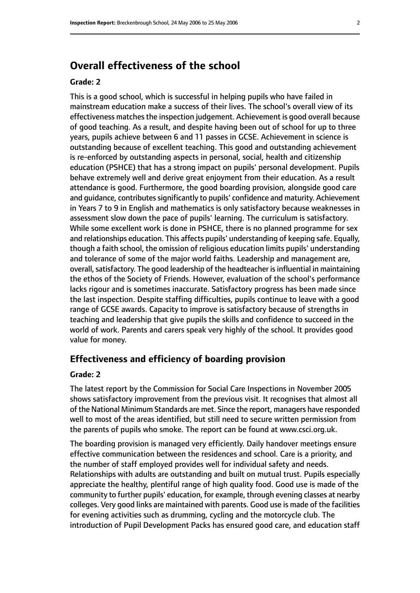# **Overall effectiveness of the school**

#### **Grade: 2**

This is a good school, which is successful in helping pupils who have failed in mainstream education make a success of their lives. The school's overall view of its effectiveness matches the inspection judgement. Achievement is good overall because of good teaching. As a result, and despite having been out of school for up to three years, pupils achieve between 6 and 11 passes in GCSE. Achievement in science is outstanding because of excellent teaching. This good and outstanding achievement is re-enforced by outstanding aspects in personal, social, health and citizenship education (PSHCE) that has a strong impact on pupils' personal development. Pupils behave extremely well and derive great enjoyment from their education. As a result attendance is good. Furthermore, the good boarding provision, alongside good care and quidance, contributes significantly to pupils' confidence and maturity. Achievement in Years 7 to 9 in English and mathematics is only satisfactory because weaknesses in assessment slow down the pace of pupils' learning. The curriculum is satisfactory. While some excellent work is done in PSHCE, there is no planned programme for sex and relationships education. This affects pupils' understanding of keeping safe. Equally, though a faith school, the omission of religious education limits pupils' understanding and tolerance of some of the major world faiths. Leadership and management are, overall, satisfactory. The good leadership of the headteacher is influential in maintaining the ethos of the Society of Friends. However, evaluation of the school's performance lacks rigour and is sometimes inaccurate. Satisfactory progress has been made since the last inspection. Despite staffing difficulties, pupils continue to leave with a good range of GCSE awards. Capacity to improve is satisfactory because of strengths in teaching and leadership that give pupils the skills and confidence to succeed in the world of work. Parents and carers speak very highly of the school. It provides good value for money.

#### **Effectiveness and efficiency of boarding provision**

#### **Grade: 2**

The latest report by the Commission for Social Care Inspections in November 2005 shows satisfactory improvement from the previous visit. It recognises that almost all of the National Minimum Standards are met. Since the report, managers have responded well to most of the areas identified, but still need to secure written permission from the parents of pupils who smoke. The report can be found at www.csci.org.uk.

The boarding provision is managed very efficiently. Daily handover meetings ensure effective communication between the residences and school. Care is a priority, and the number of staff employed provides well for individual safety and needs. Relationships with adults are outstanding and built on mutual trust. Pupils especially appreciate the healthy, plentiful range of high quality food. Good use is made of the community to further pupils' education, for example, through evening classes at nearby colleges. Very good links are maintained with parents. Good use is made of the facilities for evening activities such as drumming, cycling and the motorcycle club. The introduction of Pupil Development Packs has ensured good care, and education staff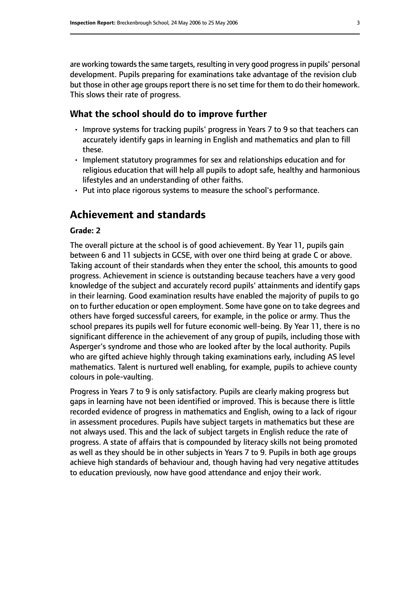are working towards the same targets, resulting in very good progress in pupils' personal development. Pupils preparing for examinations take advantage of the revision club but those in other age groups report there is no set time for them to do their homework. This slows their rate of progress.

#### **What the school should do to improve further**

- Improve systems for tracking pupils' progress in Years 7 to 9 so that teachers can accurately identify gaps in learning in English and mathematics and plan to fill these.
- Implement statutory programmes for sex and relationships education and for religious education that will help all pupils to adopt safe, healthy and harmonious lifestyles and an understanding of other faiths.
- Put into place rigorous systems to measure the school's performance.

# **Achievement and standards**

#### **Grade: 2**

The overall picture at the school is of good achievement. By Year 11, pupils gain between 6 and 11 subjects in GCSE, with over one third being at grade C or above. Taking account of their standards when they enter the school, this amounts to good progress. Achievement in science is outstanding because teachers have a very good knowledge of the subject and accurately record pupils' attainments and identify gaps in their learning. Good examination results have enabled the majority of pupils to go on to further education or open employment. Some have gone on to take degrees and others have forged successful careers, for example, in the police or army. Thus the school prepares its pupils well for future economic well-being. By Year 11, there is no significant difference in the achievement of any group of pupils, including those with Asperger's syndrome and those who are looked after by the local authority. Pupils who are gifted achieve highly through taking examinations early, including AS level mathematics. Talent is nurtured well enabling, for example, pupils to achieve county colours in pole-vaulting.

Progress in Years 7 to 9 is only satisfactory. Pupils are clearly making progress but gaps in learning have not been identified or improved. This is because there is little recorded evidence of progress in mathematics and English, owing to a lack of rigour in assessment procedures. Pupils have subject targets in mathematics but these are not always used. This and the lack of subject targets in English reduce the rate of progress. A state of affairs that is compounded by literacy skills not being promoted as well as they should be in other subjects in Years 7 to 9. Pupils in both age groups achieve high standards of behaviour and, though having had very negative attitudes to education previously, now have good attendance and enjoy their work.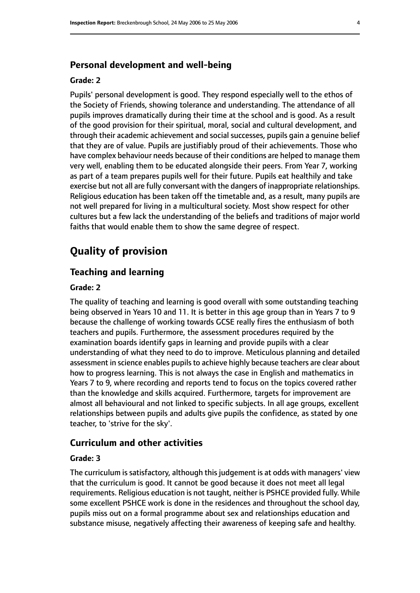### **Personal development and well-being**

#### **Grade: 2**

Pupils' personal development is good. They respond especially well to the ethos of the Society of Friends, showing tolerance and understanding. The attendance of all pupils improves dramatically during their time at the school and is good. As a result of the good provision for their spiritual, moral, social and cultural development, and through their academic achievement and social successes, pupils gain a genuine belief that they are of value. Pupils are justifiably proud of their achievements. Those who have complex behaviour needs because of their conditions are helped to manage them very well, enabling them to be educated alongside their peers. From Year 7, working as part of a team prepares pupils well for their future. Pupils eat healthily and take exercise but not all are fully conversant with the dangers of inappropriate relationships. Religious education has been taken off the timetable and, as a result, many pupils are not well prepared for living in a multicultural society. Most show respect for other cultures but a few lack the understanding of the beliefs and traditions of major world faiths that would enable them to show the same degree of respect.

# **Quality of provision**

#### **Teaching and learning**

#### **Grade: 2**

The quality of teaching and learning is good overall with some outstanding teaching being observed in Years 10 and 11. It is better in this age group than in Years 7 to 9 because the challenge of working towards GCSE really fires the enthusiasm of both teachers and pupils. Furthermore, the assessment procedures required by the examination boards identify gaps in learning and provide pupils with a clear understanding of what they need to do to improve. Meticulous planning and detailed assessment in science enables pupils to achieve highly because teachers are clear about how to progress learning. This is not always the case in English and mathematics in Years 7 to 9, where recording and reports tend to focus on the topics covered rather than the knowledge and skills acquired. Furthermore, targets for improvement are almost all behavioural and not linked to specific subjects. In all age groups, excellent relationships between pupils and adults give pupils the confidence, as stated by one teacher, to 'strive for the sky'.

#### **Curriculum and other activities**

#### **Grade: 3**

The curriculum is satisfactory, although this judgement is at odds with managers' view that the curriculum is good. It cannot be good because it does not meet all legal requirements. Religious education is not taught, neither is PSHCE provided fully. While some excellent PSHCE work is done in the residences and throughout the school day, pupils miss out on a formal programme about sex and relationships education and substance misuse, negatively affecting their awareness of keeping safe and healthy.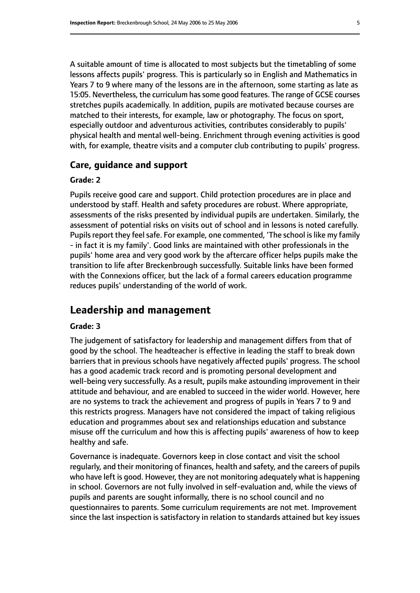A suitable amount of time is allocated to most subjects but the timetabling of some lessons affects pupils' progress. This is particularly so in English and Mathematics in Years 7 to 9 where many of the lessons are in the afternoon, some starting as late as 15:05. Nevertheless, the curriculum has some good features. The range of GCSE courses stretches pupils academically. In addition, pupils are motivated because courses are matched to their interests, for example, law or photography. The focus on sport, especially outdoor and adventurous activities, contributes considerably to pupils' physical health and mental well-being. Enrichment through evening activities is good with, for example, theatre visits and a computer club contributing to pupils' progress.

#### **Care, guidance and support**

#### **Grade: 2**

Pupils receive good care and support. Child protection procedures are in place and understood by staff. Health and safety procedures are robust. Where appropriate, assessments of the risks presented by individual pupils are undertaken. Similarly, the assessment of potential risks on visits out of school and in lessons is noted carefully. Pupils report they feel safe. For example, one commented, 'The school is like my family - in fact it is my family'. Good links are maintained with other professionals in the pupils' home area and very good work by the aftercare officer helps pupils make the transition to life after Breckenbrough successfully. Suitable links have been formed with the Connexions officer, but the lack of a formal careers education programme reduces pupils' understanding of the world of work.

# **Leadership and management**

#### **Grade: 3**

The judgement of satisfactory for leadership and management differs from that of good by the school. The headteacher is effective in leading the staff to break down barriers that in previous schools have negatively affected pupils' progress. The school has a good academic track record and is promoting personal development and well-being very successfully. As a result, pupils make astounding improvement in their attitude and behaviour, and are enabled to succeed in the wider world. However, here are no systems to track the achievement and progress of pupils in Years 7 to 9 and this restricts progress. Managers have not considered the impact of taking religious education and programmes about sex and relationships education and substance misuse off the curriculum and how this is affecting pupils' awareness of how to keep healthy and safe.

Governance is inadequate. Governors keep in close contact and visit the school regularly, and their monitoring of finances, health and safety, and the careers of pupils who have left is good. However, they are not monitoring adequately what is happening in school. Governors are not fully involved in self-evaluation and, while the views of pupils and parents are sought informally, there is no school council and no questionnaires to parents. Some curriculum requirements are not met. Improvement since the last inspection is satisfactory in relation to standards attained but key issues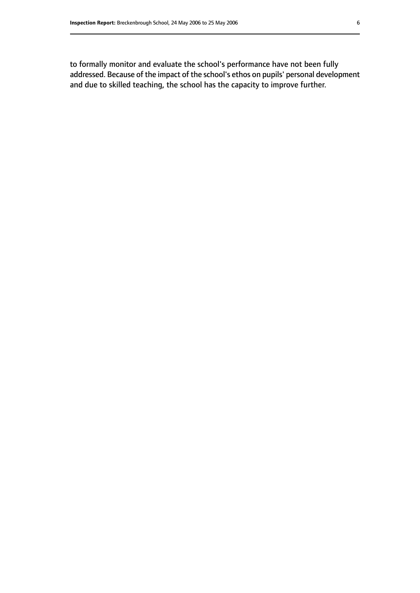to formally monitor and evaluate the school's performance have not been fully addressed. Because of the impact of the school's ethos on pupils' personal development and due to skilled teaching, the school has the capacity to improve further.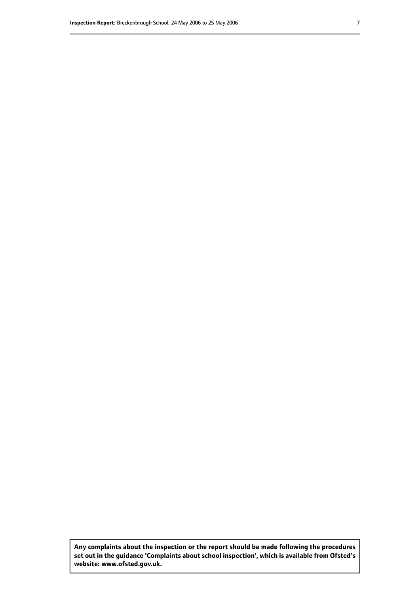**Any complaints about the inspection or the report should be made following the procedures set out inthe guidance 'Complaints about school inspection', whichis available from Ofsted's website: www.ofsted.gov.uk.**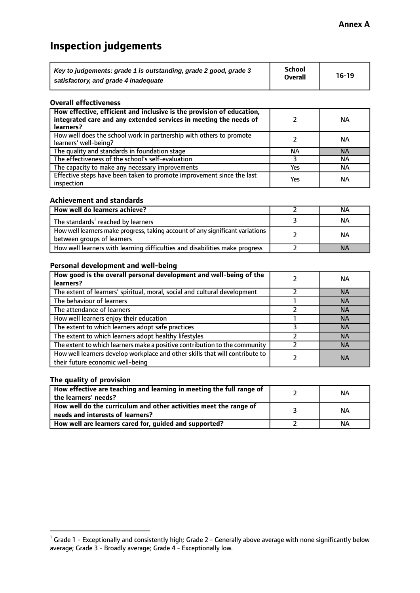# **Inspection judgements**

| Key to judgements: grade 1 is outstanding, grade 2 good, grade 3 | <b>School</b>  | $16-19$ |
|------------------------------------------------------------------|----------------|---------|
| satisfactory, and grade 4 inadequate                             | <b>Overall</b> |         |

#### **Overall effectiveness**

| How effective, efficient and inclusive is the provision of education,<br>integrated care and any extended services in meeting the needs of<br>learners? |     | NА        |
|---------------------------------------------------------------------------------------------------------------------------------------------------------|-----|-----------|
| How well does the school work in partnership with others to promote<br>learners' well-being?                                                            |     | NА        |
| The quality and standards in foundation stage                                                                                                           | ΝA  | <b>NA</b> |
| The effectiveness of the school's self-evaluation                                                                                                       |     | ΝA        |
| The capacity to make any necessary improvements                                                                                                         | Yes | NА        |
| Effective steps have been taken to promote improvement since the last<br>inspection                                                                     | Yes | ΝA        |

#### **Achievement and standards**

| How well do learners achieve?                                                                               | ΝA        |
|-------------------------------------------------------------------------------------------------------------|-----------|
| The standards <sup>1</sup> reached by learners                                                              | NА        |
| How well learners make progress, taking account of any significant variations<br>between groups of learners | <b>NA</b> |
| How well learners with learning difficulties and disabilities make progress                                 | <b>NA</b> |

#### **Personal development and well-being**

| How good is the overall personal development and well-being of the<br>learners?                                  | ΝA        |
|------------------------------------------------------------------------------------------------------------------|-----------|
| The extent of learners' spiritual, moral, social and cultural development                                        | <b>NA</b> |
| The behaviour of learners                                                                                        | <b>NA</b> |
| The attendance of learners                                                                                       | <b>NA</b> |
| How well learners enjoy their education                                                                          | <b>NA</b> |
| The extent to which learners adopt safe practices                                                                | <b>NA</b> |
| The extent to which learners adopt healthy lifestyles                                                            | <b>NA</b> |
| The extent to which learners make a positive contribution to the community                                       | <b>NA</b> |
| How well learners develop workplace and other skills that will contribute to<br>their future economic well-being | <b>NA</b> |

## **The quality of provision**

| How effective are teaching and learning in meeting the full range of<br>the learners' needs?          | ΝA |
|-------------------------------------------------------------------------------------------------------|----|
| How well do the curriculum and other activities meet the range of<br>needs and interests of learners? | ΝA |
| How well are learners cared for, guided and supported?                                                | ΝA |

 $^1$  Grade 1 - Exceptionally and consistently high; Grade 2 - Generally above average with none significantly below average; Grade 3 - Broadly average; Grade 4 - Exceptionally low.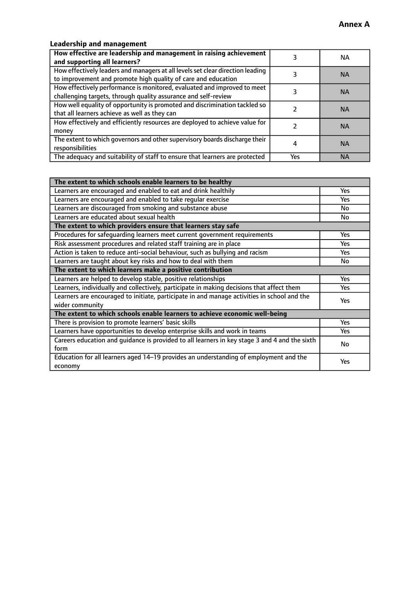## **Leadership and management**

| How effective are leadership and management in raising achievement<br>and supporting all learners?                                              |     | NA.       |
|-------------------------------------------------------------------------------------------------------------------------------------------------|-----|-----------|
| How effectively leaders and managers at all levels set clear direction leading<br>to improvement and promote high quality of care and education |     | <b>NA</b> |
| How effectively performance is monitored, evaluated and improved to meet<br>challenging targets, through quality assurance and self-review      |     | <b>NA</b> |
| How well equality of opportunity is promoted and discrimination tackled so<br>that all learners achieve as well as they can                     |     | <b>NA</b> |
| How effectively and efficiently resources are deployed to achieve value for<br>money                                                            |     | <b>NA</b> |
| The extent to which governors and other supervisory boards discharge their<br>responsibilities                                                  |     | <b>NA</b> |
| The adequacy and suitability of staff to ensure that learners are protected                                                                     | Yes | <b>NA</b> |

| The extent to which schools enable learners to be healthy                                     |            |  |
|-----------------------------------------------------------------------------------------------|------------|--|
| Learners are encouraged and enabled to eat and drink healthily                                | Yes        |  |
| Learners are encouraged and enabled to take regular exercise                                  | <b>Yes</b> |  |
| Learners are discouraged from smoking and substance abuse                                     | No         |  |
| Learners are educated about sexual health                                                     | No         |  |
| The extent to which providers ensure that learners stay safe                                  |            |  |
| Procedures for safequarding learners meet current government requirements                     | Yes        |  |
| Risk assessment procedures and related staff training are in place                            | <b>Yes</b> |  |
| Action is taken to reduce anti-social behaviour, such as bullying and racism                  | <b>Yes</b> |  |
| Learners are taught about key risks and how to deal with them                                 | No         |  |
| The extent to which learners make a positive contribution                                     |            |  |
| Learners are helped to develop stable, positive relationships                                 | Yes        |  |
| Learners, individually and collectively, participate in making decisions that affect them     | Yes        |  |
| Learners are encouraged to initiate, participate in and manage activities in school and the   | <b>Yes</b> |  |
| wider community                                                                               |            |  |
| The extent to which schools enable learners to achieve economic well-being                    |            |  |
| There is provision to promote learners' basic skills                                          | Yes        |  |
| Learners have opportunities to develop enterprise skills and work in teams                    | Yes        |  |
| Careers education and guidance is provided to all learners in key stage 3 and 4 and the sixth | No         |  |
| form                                                                                          |            |  |
| Education for all learners aged 14-19 provides an understanding of employment and the         | Yes        |  |
| economy                                                                                       |            |  |